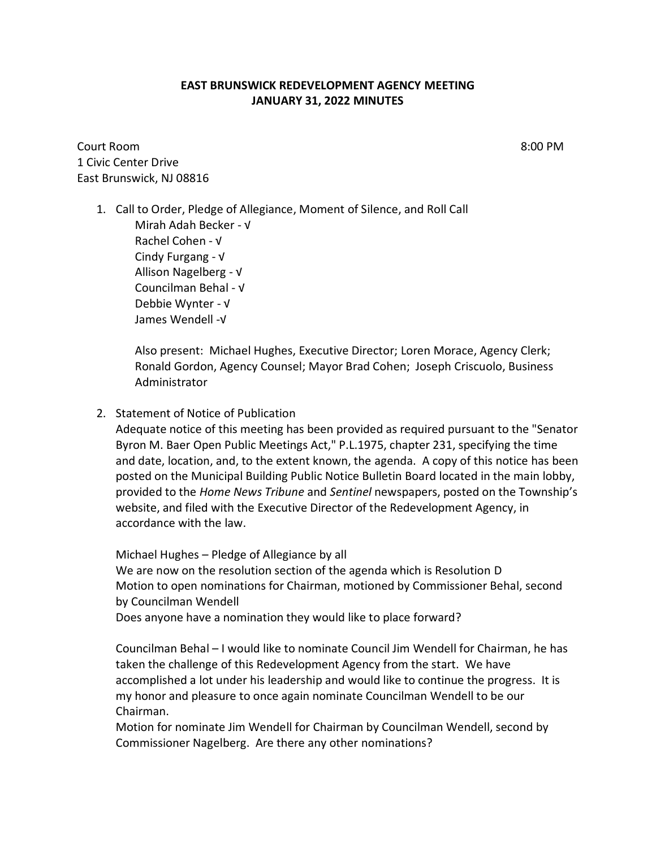## **EAST BRUNSWICK REDEVELOPMENT AGENCY MEETING JANUARY 31, 2022 MINUTES**

Court Room 8:00 PM 1 Civic Center Drive East Brunswick, NJ 08816

1. Call to Order, Pledge of Allegiance, Moment of Silence, and Roll Call Mirah Adah Becker - √ Rachel Cohen - √ Cindy Furgang - √ Allison Nagelberg - √ Councilman Behal - √ Debbie Wynter - √ James Wendell -√

> Also present: Michael Hughes, Executive Director; Loren Morace, Agency Clerk; Ronald Gordon, Agency Counsel; Mayor Brad Cohen; Joseph Criscuolo, Business Administrator

2. Statement of Notice of Publication

Adequate notice of this meeting has been provided as required pursuant to the "Senator Byron M. Baer Open Public Meetings Act," P.L.1975, chapter 231, specifying the time and date, location, and, to the extent known, the agenda. A copy of this notice has been posted on the Municipal Building Public Notice Bulletin Board located in the main lobby, provided to the *Home News Tribune* and *Sentinel* newspapers, posted on the Township's website, and filed with the Executive Director of the Redevelopment Agency, in accordance with the law.

Michael Hughes – Pledge of Allegiance by all We are now on the resolution section of the agenda which is Resolution D Motion to open nominations for Chairman, motioned by Commissioner Behal, second by Councilman Wendell

Does anyone have a nomination they would like to place forward?

Councilman Behal – I would like to nominate Council Jim Wendell for Chairman, he has taken the challenge of this Redevelopment Agency from the start. We have accomplished a lot under his leadership and would like to continue the progress. It is my honor and pleasure to once again nominate Councilman Wendell to be our Chairman.

Motion for nominate Jim Wendell for Chairman by Councilman Wendell, second by Commissioner Nagelberg. Are there any other nominations?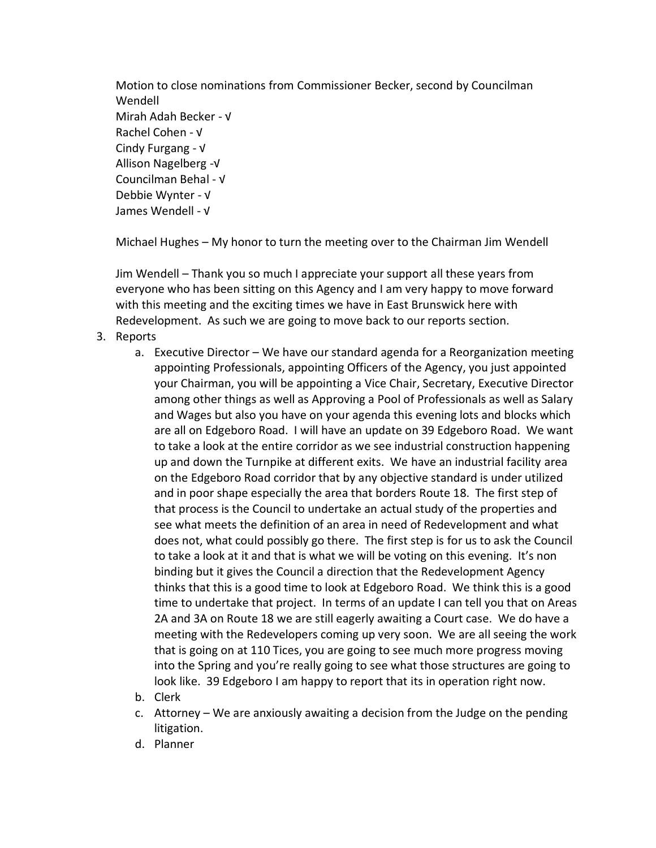Motion to close nominations from Commissioner Becker, second by Councilman Wendell Mirah Adah Becker - √ Rachel Cohen - √ Cindy Furgang - √ Allison Nagelberg -√ Councilman Behal - √ Debbie Wynter - √ James Wendell - √

Michael Hughes – My honor to turn the meeting over to the Chairman Jim Wendell

Jim Wendell – Thank you so much I appreciate your support all these years from everyone who has been sitting on this Agency and I am very happy to move forward with this meeting and the exciting times we have in East Brunswick here with Redevelopment. As such we are going to move back to our reports section.

- 3. Reports
	- a. Executive Director We have our standard agenda for a Reorganization meeting appointing Professionals, appointing Officers of the Agency, you just appointed your Chairman, you will be appointing a Vice Chair, Secretary, Executive Director among other things as well as Approving a Pool of Professionals as well as Salary and Wages but also you have on your agenda this evening lots and blocks which are all on Edgeboro Road. I will have an update on 39 Edgeboro Road. We want to take a look at the entire corridor as we see industrial construction happening up and down the Turnpike at different exits. We have an industrial facility area on the Edgeboro Road corridor that by any objective standard is under utilized and in poor shape especially the area that borders Route 18. The first step of that process is the Council to undertake an actual study of the properties and see what meets the definition of an area in need of Redevelopment and what does not, what could possibly go there. The first step is for us to ask the Council to take a look at it and that is what we will be voting on this evening. It's non binding but it gives the Council a direction that the Redevelopment Agency thinks that this is a good time to look at Edgeboro Road. We think this is a good time to undertake that project. In terms of an update I can tell you that on Areas 2A and 3A on Route 18 we are still eagerly awaiting a Court case. We do have a meeting with the Redevelopers coming up very soon. We are all seeing the work that is going on at 110 Tices, you are going to see much more progress moving into the Spring and you're really going to see what those structures are going to look like. 39 Edgeboro I am happy to report that its in operation right now.
	- b. Clerk
	- c. Attorney We are anxiously awaiting a decision from the Judge on the pending litigation.
	- d. Planner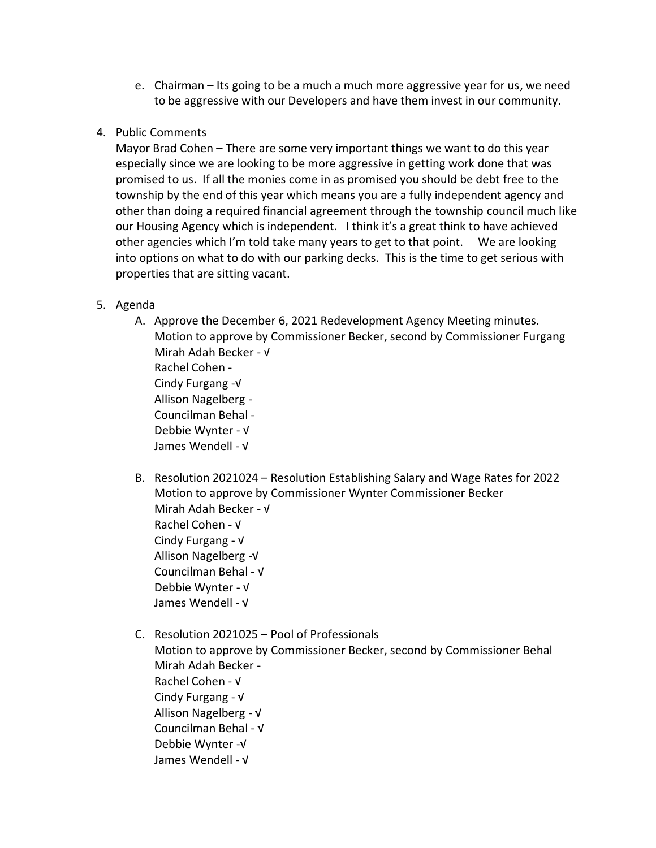- e. Chairman Its going to be a much a much more aggressive year for us, we need to be aggressive with our Developers and have them invest in our community.
- 4. Public Comments

Mayor Brad Cohen – There are some very important things we want to do this year especially since we are looking to be more aggressive in getting work done that was promised to us. If all the monies come in as promised you should be debt free to the township by the end of this year which means you are a fully independent agency and other than doing a required financial agreement through the township council much like our Housing Agency which is independent. I think it's a great think to have achieved other agencies which I'm told take many years to get to that point. We are looking into options on what to do with our parking decks. This is the time to get serious with properties that are sitting vacant.

- 5. Agenda
	- A. Approve the December 6, 2021 Redevelopment Agency Meeting minutes. Motion to approve by Commissioner Becker, second by Commissioner Furgang Mirah Adah Becker - √ Rachel Cohen - Cindy Furgang -√ Allison Nagelberg - Councilman Behal - Debbie Wynter - √ James Wendell - √
	- B. Resolution 2021024 Resolution Establishing Salary and Wage Rates for 2022 Motion to approve by Commissioner Wynter Commissioner Becker Mirah Adah Becker - √ Rachel Cohen - √ Cindy Furgang - √ Allison Nagelberg -√ Councilman Behal - √ Debbie Wynter - √ James Wendell - √
	- C. Resolution 2021025 Pool of Professionals Motion to approve by Commissioner Becker, second by Commissioner Behal Mirah Adah Becker - Rachel Cohen - √ Cindy Furgang - √ Allison Nagelberg - √ Councilman Behal - √ Debbie Wynter -√ James Wendell - √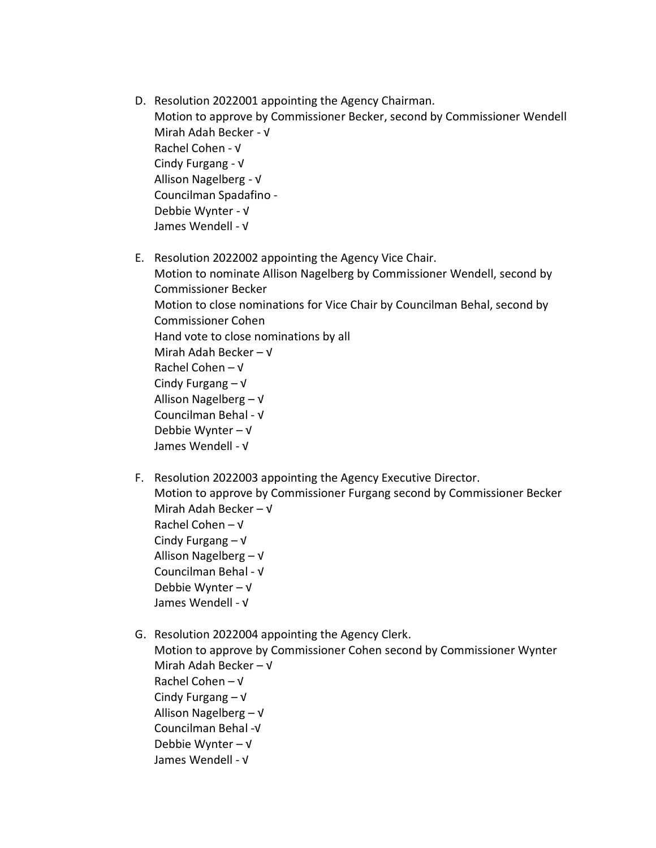- D. Resolution 2022001 appointing the Agency Chairman. Motion to approve by Commissioner Becker, second by Commissioner Wendell Mirah Adah Becker - √ Rachel Cohen - √ Cindy Furgang - √ Allison Nagelberg - √ Councilman Spadafino - Debbie Wynter - √ James Wendell - √
- E. Resolution 2022002 appointing the Agency Vice Chair. Motion to nominate Allison Nagelberg by Commissioner Wendell, second by Commissioner Becker Motion to close nominations for Vice Chair by Councilman Behal, second by Commissioner Cohen Hand vote to close nominations by all Mirah Adah Becker – √ Rachel Cohen – √ Cindy Furgang – √ Allison Nagelberg – √ Councilman Behal - √ Debbie Wynter – √ James Wendell - √
- F. Resolution 2022003 appointing the Agency Executive Director. Motion to approve by Commissioner Furgang second by Commissioner Becker Mirah Adah Becker – √ Rachel Cohen – √ Cindy Furgang – √ Allison Nagelberg – √ Councilman Behal - √ Debbie Wynter – √ James Wendell - √
- G. Resolution 2022004 appointing the Agency Clerk. Motion to approve by Commissioner Cohen second by Commissioner Wynter Mirah Adah Becker – √ Rachel Cohen – √ Cindy Furgang – √ Allison Nagelberg – √ Councilman Behal -√ Debbie Wynter – √ James Wendell - √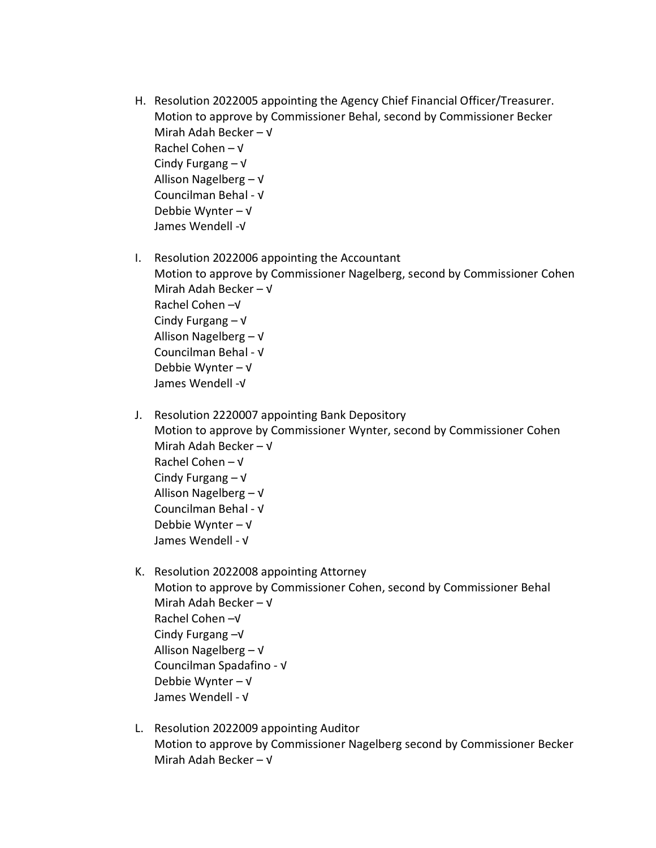- H. Resolution 2022005 appointing the Agency Chief Financial Officer/Treasurer. Motion to approve by Commissioner Behal, second by Commissioner Becker Mirah Adah Becker – √ Rachel Cohen – √ Cindy Furgang – √ Allison Nagelberg – √ Councilman Behal - √ Debbie Wynter – √ James Wendell -√
- I. Resolution 2022006 appointing the Accountant Motion to approve by Commissioner Nagelberg, second by Commissioner Cohen Mirah Adah Becker – √ Rachel Cohen –√ Cindy Furgang – √ Allison Nagelberg – √ Councilman Behal - √ Debbie Wynter – √ James Wendell -√
- J. Resolution 2220007 appointing Bank Depository Motion to approve by Commissioner Wynter, second by Commissioner Cohen Mirah Adah Becker – √ Rachel Cohen – √ Cindy Furgang – √ Allison Nagelberg – √ Councilman Behal - √ Debbie Wynter – √ James Wendell - √
- K. Resolution 2022008 appointing Attorney Motion to approve by Commissioner Cohen, second by Commissioner Behal Mirah Adah Becker – √ Rachel Cohen –√ Cindy Furgang –√ Allison Nagelberg – √ Councilman Spadafino - √ Debbie Wynter – √ James Wendell - √
- L. Resolution 2022009 appointing Auditor Motion to approve by Commissioner Nagelberg second by Commissioner Becker Mirah Adah Becker – √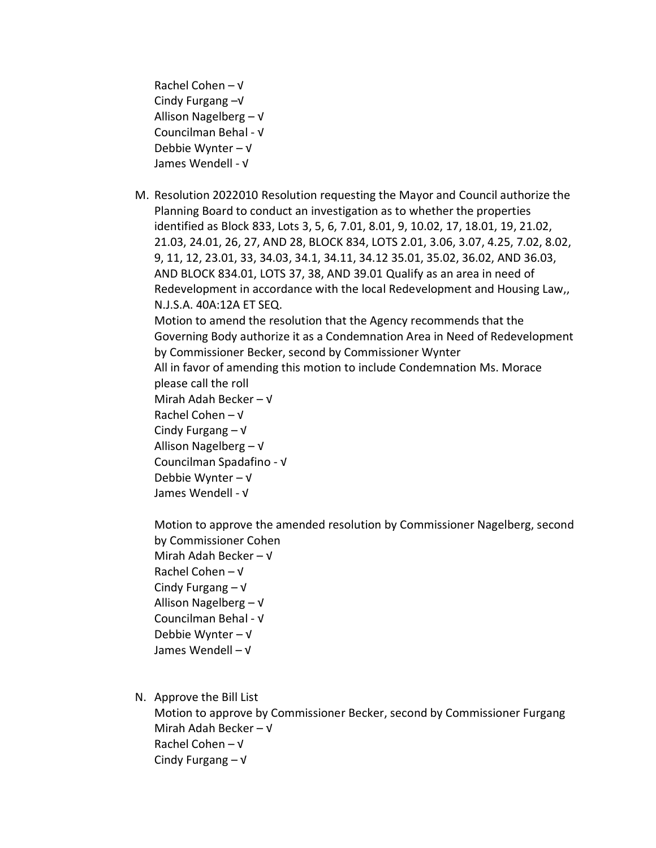Rachel Cohen – √ Cindy Furgang –√ Allison Nagelberg – √ Councilman Behal - √ Debbie Wynter – √ James Wendell - √

M. Resolution 2022010 Resolution requesting the Mayor and Council authorize the Planning Board to conduct an investigation as to whether the properties identified as Block 833, Lots 3, 5, 6, 7.01, 8.01, 9, 10.02, 17, 18.01, 19, 21.02, 21.03, 24.01, 26, 27, AND 28, BLOCK 834, LOTS 2.01, 3.06, 3.07, 4.25, 7.02, 8.02, 9, 11, 12, 23.01, 33, 34.03, 34.1, 34.11, 34.12 35.01, 35.02, 36.02, AND 36.03, AND BLOCK 834.01, LOTS 37, 38, AND 39.01 Qualify as an area in need of Redevelopment in accordance with the local Redevelopment and Housing Law,, N.J.S.A. 40A:12A ET SEQ.

Motion to amend the resolution that the Agency recommends that the Governing Body authorize it as a Condemnation Area in Need of Redevelopment by Commissioner Becker, second by Commissioner Wynter

All in favor of amending this motion to include Condemnation Ms. Morace please call the roll

Mirah Adah Becker – √

- Rachel Cohen √
- Cindy Furgang √
- Allison Nagelberg √

Councilman Spadafino - √

- Debbie Wynter √
- James Wendell √

Motion to approve the amended resolution by Commissioner Nagelberg, second by Commissioner Cohen Mirah Adah Becker – √ Rachel Cohen – √ Cindy Furgang – √ Allison Nagelberg – √ Councilman Behal - √ Debbie Wynter – √

- James Wendell √
- N. Approve the Bill List

Motion to approve by Commissioner Becker, second by Commissioner Furgang Mirah Adah Becker – √ Rachel Cohen – √ Cindy Furgang – √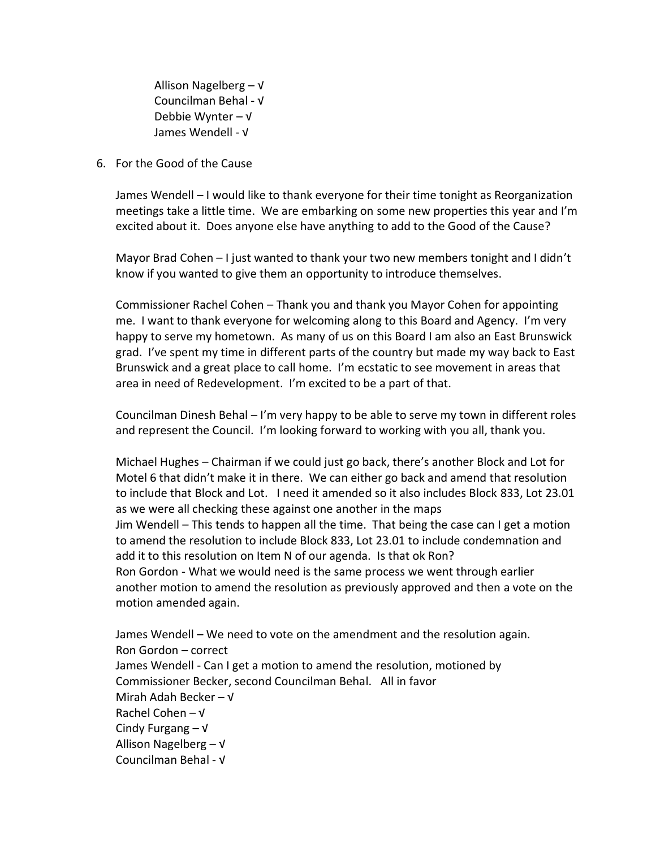Allison Nagelberg – √ Councilman Behal - √ Debbie Wynter – √ James Wendell - √

6. For the Good of the Cause

James Wendell – I would like to thank everyone for their time tonight as Reorganization meetings take a little time. We are embarking on some new properties this year and I'm excited about it. Does anyone else have anything to add to the Good of the Cause?

Mayor Brad Cohen – I just wanted to thank your two new members tonight and I didn't know if you wanted to give them an opportunity to introduce themselves.

Commissioner Rachel Cohen – Thank you and thank you Mayor Cohen for appointing me. I want to thank everyone for welcoming along to this Board and Agency. I'm very happy to serve my hometown. As many of us on this Board I am also an East Brunswick grad. I've spent my time in different parts of the country but made my way back to East Brunswick and a great place to call home. I'm ecstatic to see movement in areas that area in need of Redevelopment. I'm excited to be a part of that.

Councilman Dinesh Behal – I'm very happy to be able to serve my town in different roles and represent the Council. I'm looking forward to working with you all, thank you.

Michael Hughes – Chairman if we could just go back, there's another Block and Lot for Motel 6 that didn't make it in there. We can either go back and amend that resolution to include that Block and Lot. I need it amended so it also includes Block 833, Lot 23.01 as we were all checking these against one another in the maps Jim Wendell – This tends to happen all the time. That being the case can I get a motion to amend the resolution to include Block 833, Lot 23.01 to include condemnation and add it to this resolution on Item N of our agenda. Is that ok Ron? Ron Gordon - What we would need is the same process we went through earlier another motion to amend the resolution as previously approved and then a vote on the motion amended again.

James Wendell – We need to vote on the amendment and the resolution again. Ron Gordon – correct James Wendell - Can I get a motion to amend the resolution, motioned by Commissioner Becker, second Councilman Behal. All in favor Mirah Adah Becker – √ Rachel Cohen – √ Cindy Furgang – √ Allison Nagelberg – √ Councilman Behal - √